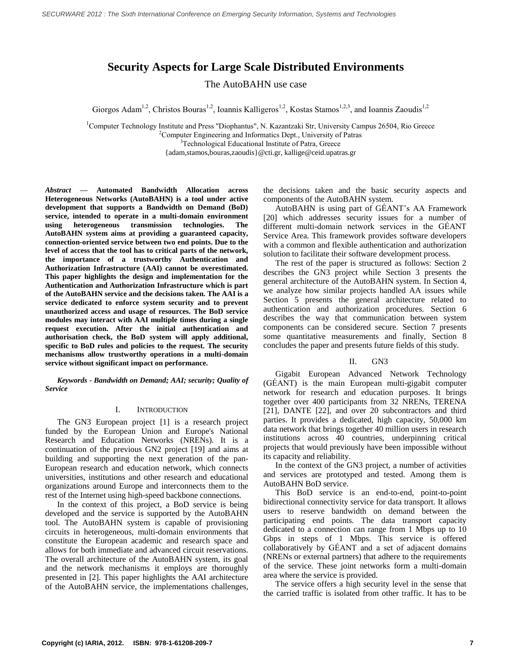# **Security Aspects for Large Scale Distributed Environments**

The AutoBAHN use case

Giorgos Adam<sup>1,2</sup>, Christos Bouras<sup>1,2</sup>, Ioannis Kalligeros<sup>1,2</sup>, Kostas Stamos<sup>1,2,3</sup>, and Ioannis Zaoudis<sup>1,2</sup>

<sup>1</sup>Computer Technology Institute and Press "Diophantus", N. Kazantzaki Str, University Campus 26504, Rio Greece <sup>2</sup>Computer Engineering and Informatics Dept., University of Patras <sup>3</sup>Technological Educational Institute of Patra, Greece

{adam,stamos,bouras,zaoudis}@cti.gr, kallige@ceid.upatras.gr

*Abstract* **— Automated Bandwidth Allocation across Heterogeneous Networks (AutoBAHN) is a tool under active development that supports a Bandwidth on Demand (BoD) service, intended to operate in a multi-domain environment using heterogeneous transmission technologies. The AutoBAHN system aims at providing a guaranteed capacity, connection-oriented service between two end points. Due to the level of access that the tool has to critical parts of the network, the importance of a trustworthy Authentication and Authorization Infrastructure (AAI) cannot be overestimated. This paper highlights the design and implementation for the Authentication and Authorization Infrastructure which is part of the AutoBAHN service and the decisions taken. The AAI is a service dedicated to enforce system security and to prevent unauthorized access and usage of resources. The BoD service modules may interact with AAI multiple times during a single request execution. After the initial authentication and authorisation check, the BoD system will apply additional, specific to BoD rules and policies to the request. The security mechanisms allow trustworthy operations in a multi-domain service without significant impact on performance.**

*Keywords - Bandwidth on Demand; AAI; security; Quality of Service*

### I. INTRODUCTION

The GN3 European project [\[1\]](#page-6-0) is a research project funded by the European Union and Europe's National Research and Education Networks (NRENs). It is a continuation of the previous GN2 project [\[19\]](#page-6-1) and aims at building and supporting the next generation of the pan-European research and education network, which connects universities, institutions and other research and educational organizations around Europe and interconnects them to the rest of the Internet using high-speed backbone connections.

In the context of this project, a BoD service is being developed and the service is supported by the AutoBAHN tool. The AutoBAHN system is capable of provisioning circuits in heterogeneous, multi-domain environments that constitute the European academic and research space and allows for both immediate and advanced circuit reservations. The overall architecture of the AutoBAHN system, its goal and the network mechanisms it employs are thoroughly presented in [\[2\].](#page-6-2) This paper highlights the AAI architecture of the AutoBAHN service, the implementations challenges, the decisions taken and the basic security aspects and components of the AutoBAHN system.

AutoBAHN is using part of GÉANT's AA Framework [\[20\]](#page-6-3) which addresses security issues for a number of different multi-domain network services in the GÉANT Service Area. This framework provides software developers with a common and flexible authentication and authorization solution to facilitate their software development process.

The rest of the paper is structured as follows: Section 2 describes the GN3 project while Section 3 presents the general architecture of the AutoBAHN system. In Section 4, we analyze how similar projects handled AA issues while Section 5 presents the general architecture related to authentication and authorization procedures. Section 6 describes the way that communication between system components can be considered secure. Section 7 presents some quantitative measurements and finally, Section 8 concludes the paper and presents future fields of this study.

### II. GN3

Gigabit European Advanced Network Technology (GÉANT) is the main [European](http://en.wikipedia.org/wiki/Europe) multi[-gigabit](http://en.wikipedia.org/wiki/Gigabit) [computer](http://en.wikipedia.org/wiki/Computer_network)  [network](http://en.wikipedia.org/wiki/Computer_network) for [research](http://en.wikipedia.org/wiki/Research) and [education](http://en.wikipedia.org/wiki/Education) purposes. It brings together over 400 participants from 32 NRENs, TERENA [\[21\],](#page-6-4) DANTE [\[22\],](#page-6-5) and over 20 subcontractors and third parties. It provides a dedicated, high capacity, 50,000 km data network that brings together 40 million users in research institutions across 40 countries, underpinning critical projects that would previously have been impossible without its capacity and reliability.

In the context of the GN3 project, a number of activities and services are prototyped and tested. Among them is AutoBAHN BoD service.

This BoD service is an end-to-end, point-to-point bidirectional connectivity service for data transport. It allows users to reserve bandwidth on demand between the participating end points. The data transport capacity dedicated to a connection can range from 1 Mbps up to 10 Gbps in steps of 1 Mbps. This service is offered collaboratively by GÉANT and a set of adjacent domains (NRENs or external partners) that adhere to the requirements of the service. These joint networks form a multi-domain area where the service is provided.

The service offers a high security level in the sense that the carried traffic is isolated from other traffic. It has to be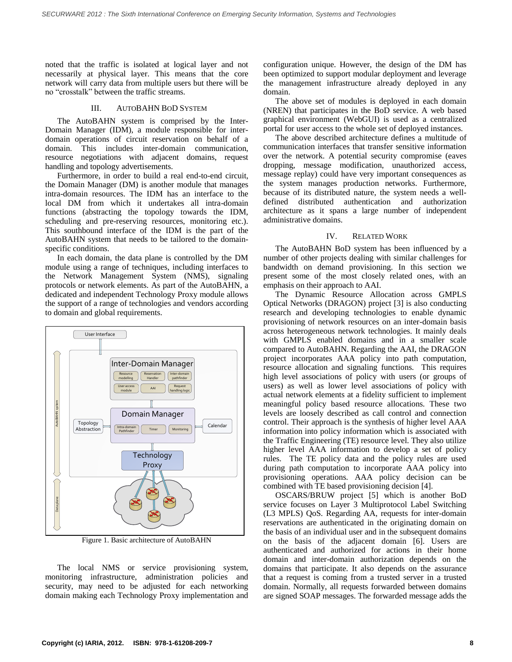noted that the traffic is isolated at logical layer and not necessarily at physical layer. This means that the core network will carry data from multiple users but there will be no "crosstalk" between the traffic streams.

#### III. AUTOBAHN BOD SYSTEM

The AutoBAHN system is comprised by the Inter-Domain Manager (IDM), a module responsible for interdomain operations of circuit reservation on behalf of a domain. This includes inter-domain communication, resource negotiations with adjacent domains, request handling and topology advertisements.

Furthermore, in order to build a real end-to-end circuit, the Domain Manager (DM) is another module that manages intra-domain resources. The IDM has an interface to the local DM from which it undertakes all intra-domain functions (abstracting the topology towards the IDM, scheduling and pre-reserving resources, monitoring etc.). This southbound interface of the IDM is the part of the AutoBAHN system that needs to be tailored to the domainspecific conditions.

In each domain, the data plane is controlled by the DM module using a range of techniques, including interfaces to the Network Management System (NMS), signaling protocols or network elements. As part of the AutoBAHN, a dedicated and independent Technology Proxy module allows the support of a range of technologies and vendors according to domain and global requirements.



Figure 1. Basic architecture of AutoBAHN

The local NMS or service provisioning system, monitoring infrastructure, administration policies and security, may need to be adjusted for each networking domain making each Technology Proxy implementation and configuration unique. However, the design of the DM has been optimized to support modular deployment and leverage the management infrastructure already deployed in any domain.

The above set of modules is deployed in each domain (NREN) that participates in the BoD service. A web based graphical environment (WebGUI) is used as a centralized portal for user access to the whole set of deployed instances.

The above described architecture defines a multitude of communication interfaces that transfer sensitive information over the network. A potential security compromise (eaves dropping, message modification, unauthorized access, message replay) could have very important consequences as the system manages production networks. Furthermore, because of its distributed nature, the system needs a welldefined distributed authentication and authorization architecture as it spans a large number of independent administrative domains.

### IV. RELATED WORK

The AutoBAHN BoD system has been influenced by a number of other projects dealing with similar challenges for bandwidth on demand provisioning. In this section we present some of the most closely related ones, with an emphasis on their approach to AAI.

The Dynamic Resource Allocation across GMPLS Optical Networks (DRAGON) project [\[3\]](#page-6-6) is also conducting research and developing technologies to enable dynamic provisioning of network resources on an inter-domain basis across heterogeneous network technologies. It mainly deals with GMPLS enabled domains and in a smaller scale compared to AutoBAHN. Regarding the AAI, the DRAGON project incorporates AAA policy into path computation, resource allocation and signaling functions. This requires high level associations of policy with users (or groups of users) as well as lower level associations of policy with actual network elements at a fidelity sufficient to implement meaningful policy based resource allocations. These two levels are loosely described as call control and connection control. Their approach is the synthesis of higher level AAA information into policy information which is associated with the Traffic Engineering (TE) resource level. They also utilize higher level AAA information to develop a set of policy rules. The TE policy data and the policy rules are used during path computation to incorporate AAA policy into provisioning operations. AAA policy decision can be combined with TE based provisioning decision [\[4\].](#page-6-7)

OSCARS/BRUW project [\[5\]](#page-6-8) which is another BoD service focuses on Layer 3 Multiprotocol Label Switching (L3 MPLS) QoS. Regarding AA, requests for inter-domain reservations are authenticated in the originating domain on the basis of an individual user and in the subsequent domains on the basis of the adjacent domain [\[6\].](#page-6-9) Users are authenticated and authorized for actions in their home domain and inter-domain authorization depends on the domains that participate. It also depends on the assurance that a request is coming from a trusted server in a trusted domain. Normally, all requests forwarded between domains are signed SOAP messages. The forwarded message adds the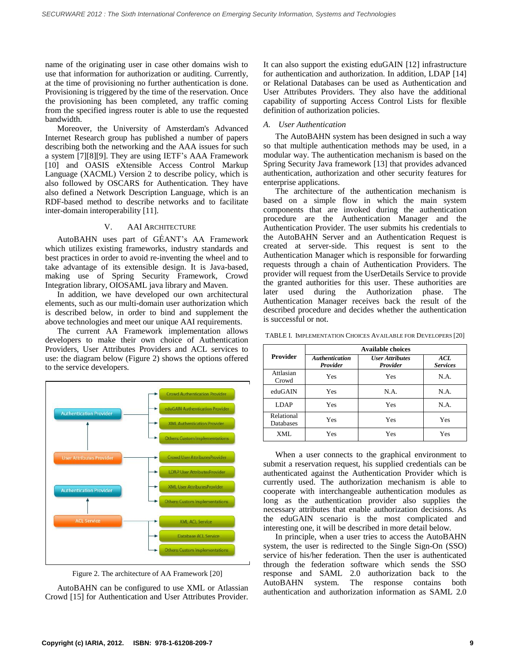name of the originating user in case other domains wish to use that information for authorization or auditing. Currently, at the time of provisioning no further authentication is done. Provisioning is triggered by the time of the reservation. Once the provisioning has been completed, any traffic coming from the specified ingress router is able to use the requested bandwidth.

Moreover, the University of Amsterdam's Advanced Internet Research group has published a number of papers describing both the networking and the AAA issues for such a system [\[7\]\[8\]](#page-6-10)[\[9\].](#page-6-11) They are using IETF's AAA Framework [\[10\]](#page-6-12) and OASIS eXtensible Access Control Markup Language (XACML) Version 2 to describe policy, which is also followed by OSCARS for Authentication. They have also defined a Network Description Language, which is an RDF-based method to describe networks and to facilitate inter-domain interoperability [\[11\].](#page-6-13)

### V. AAI ARCHITECTURE

AutoBAHN uses part of GÉANT's AA Framework which utilizes existing frameworks, industry standards and best practices in order to avoid re-inventing the wheel and to take advantage of its extensible design. It is Java-based, making use of Spring Security Framework, Crowd Integration library, OIOSAML java library and Maven.

In addition, we have developed our own architectural elements, such as our multi-domain user authorization which is described below, in order to bind and supplement the above technologies and meet our unique AAI requirements.

The current AA Framework implementation allows developers to make their own choice of Authentication Providers, User Attributes Providers and ACL services to use: the diagram below [\(Figure 2\)](#page-2-0) shows the options offered to the service developers.



Figure 2. The architecture of AA Framework [\[20\]](#page-6-3)

<span id="page-2-0"></span>AutoBAHN can be configured to use XML or Atlassian Crowd [\[15\]](#page-6-14) for Authentication and User Attributes Provider. It can also support the existing eduGAIN [\[12\]](#page-6-15) infrastructure for authentication and authorization. In addition, LDAP [\[14\]](#page-6-16) or Relational Databases can be used as Authentication and User Attributes Providers. They also have the additional capability of supporting Access Control Lists for flexible definition of authorization policies.

# *A. User Authentication*

The AutoBAHN system has been designed in such a way so that multiple authentication methods may be used, in a modular way. The authentication mechanism is based on the Spring Security Java framewor[k \[13\]](#page-6-17) that provides advanced authentication, authorization and other security features for enterprise applications.

The architecture of the authentication mechanism is based on a simple flow in which the main system components that are invoked during the authentication procedure are the Authentication Manager and the Authentication Provider. The user submits his credentials to the AutoBAHN Server and an Authentication Request is created at server-side. This request is sent to the Authentication Manager which is responsible for forwarding requests through a chain of Authentication Providers. The provider will request from the UserDetails Service to provide the granted authorities for this user. These authorities are later used during the Authorization phase. The Authentication Manager receives back the result of the described procedure and decides whether the authentication is successful or not.

| <b>Provider</b>                | <b>Available choices</b>          |                                    |                        |
|--------------------------------|-----------------------------------|------------------------------------|------------------------|
|                                | <b>Authentication</b><br>Provider | <b>User Attributes</b><br>Provider | ACL<br><b>Services</b> |
| Attlasian<br>Crowd             | Yes                               | Yes                                | N.A.                   |
| eduGAIN                        | Yes                               | N.A.                               | N.A.                   |
| LDAP                           | Yes                               | Yes                                | N.A.                   |
| Relational<br><b>Databases</b> | Yes                               | Yes                                | Yes                    |
| XML                            | Yes                               | Yes                                | Yes                    |

TABLE I. IMPLEMENTATION CHOICES AVAILABLE FOR DEVELOPERS [\[20\]](#page-6-3)

When a user connects to the graphical environment to submit a reservation request, his supplied credentials can be authenticated against the Authentication Provider which is currently used. The authorization mechanism is able to cooperate with interchangeable authentication modules as long as the authentication provider also supplies the necessary attributes that enable authorization decisions. As the eduGAIN scenario is the most complicated and interesting one, it will be described in more detail below.

In principle, when a user tries to access the AutoBAHN system, the user is redirected to the Single Sign-On (SSO) service of his/her federation. Then the user is authenticated through the federation software which sends the SSO response and SAML 2.0 authorization back to the AutoBAHN system. The response contains both authentication and authorization information as SAML 2.0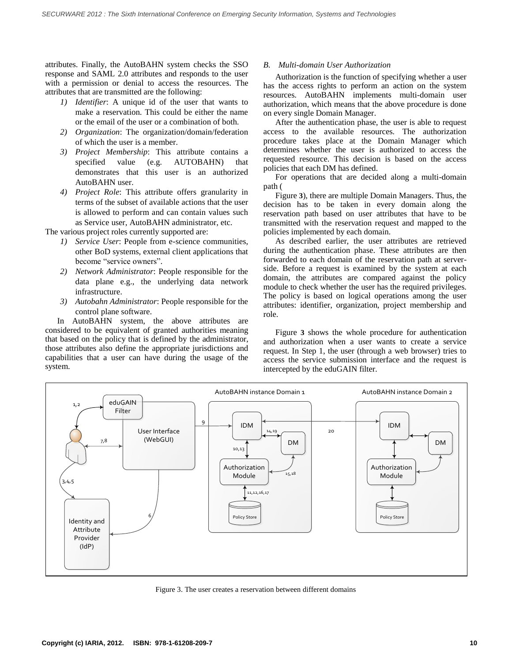attributes. Finally, the AutoBAHN system checks the SSO response and SAML 2.0 attributes and responds to the user with a permission or denial to access the resources. The attributes that are transmitted are the following:

- *1) Identifier*: A unique id of the user that wants to make a reservation. This could be either the name or the email of the user or a combination of both.
- *2) Organization*: The organization/domain/federation of which the user is a member.
- *3) Project Membership*: This attribute contains a specified value (e.g. AUTOBAHN) that demonstrates that this user is an authorized AutoBAHN user.
- *4) Project Role*: This attribute offers granularity in terms of the subset of available actions that the user is allowed to perform and can contain values such as Service user, AutoBAHN administrator, etc.

The various project roles currently supported are:

- *1) Service User*: People from e-science communities, other BoD systems, external client applications that become "service owners".
- *2) Network Administrator*: People responsible for the data plane e.g., the underlying data network infrastructure.
- *3) Autobahn Administrator*: People responsible for the control plane software.

In AutoBAHN system, the above attributes are considered to be equivalent of granted authorities meaning that based on the policy that is defined by the administrator, those attributes also define the appropriate jurisdictions and capabilities that a user can have during the usage of the system.

# *B. Multi-domain User Authorization*

Authorization is the function of specifying whether a user has the access rights to perform an action on the system resources. AutoBAHN implements multi-domain user authorization, which means that the above procedure is done on every single Domain Manager.

After the authentication phase, the user is able to request access to the available resources. The authorization procedure takes place at the Domain Manager which determines whether the user is authorized to access the requested resource. This decision is based on the access policies that each DM has defined.

For operations that are decided along a multi-domain path [\(](#page-3-0)

[Figure](#page-3-0) **3**), there are multiple Domain Managers. Thus, the decision has to be taken in every domain along the reservation path based on user attributes that have to be transmitted with the reservation request and mapped to the policies implemented by each domain.

As described earlier, the user attributes are retrieved during the authentication phase. These attributes are then forwarded to each domain of the reservation path at serverside. Before a request is examined by the system at each domain, the attributes are compared against the policy module to check whether the user has the required privileges. The policy is based on logical operations among the user attributes: identifier, organization, project membership and [role.](#page-3-0)

[Figure](#page-3-0) **3** shows the whole procedure for authentication and authorization when a user wants to create a service request. In Step 1, the user (through a web browser) tries to access the service submission interface and the request is intercepted by the eduGAIN filter.



<span id="page-3-0"></span>Figure 3. The user creates a reservation between different domains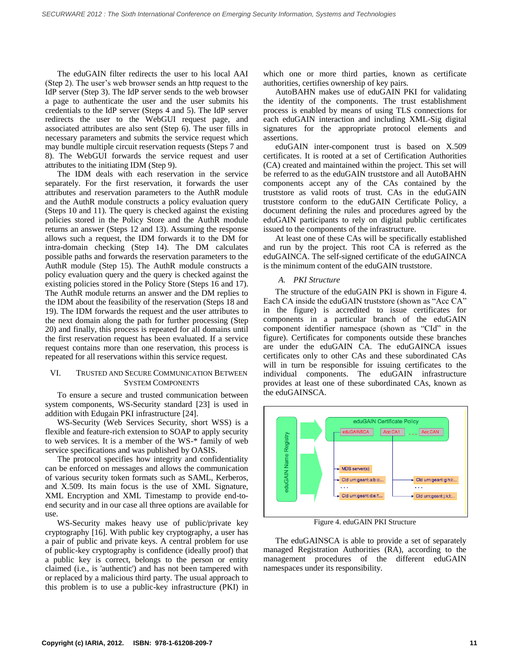The eduGAIN filter redirects the user to his local AAI (Step 2). The user's web browser sends an http request to the IdP server (Step 3). The IdP server sends to the web browser a page to authenticate the user and the user submits his credentials to the IdP server (Steps 4 and 5). The IdP server redirects the user to the WebGUI request page, and associated attributes are also sent (Step 6). The user fills in necessary parameters and submits the service request which may bundle multiple circuit reservation requests (Steps 7 and 8). The WebGUI forwards the service request and user attributes to the initiating IDM (Step 9).

The IDM deals with each reservation in the service separately. For the first reservation, it forwards the user attributes and reservation parameters to the AuthR module and the AuthR module constructs a policy evaluation query (Steps 10 and 11). The query is checked against the existing policies stored in the Policy Store and the AuthR module returns an answer (Steps 12 and 13). Assuming the response allows such a request, the IDM forwards it to the DM for intra-domain checking (Step 14). The DM calculates possible paths and forwards the reservation parameters to the AuthR module (Step 15). The AuthR module constructs a policy evaluation query and the query is checked against the existing policies stored in the Policy Store (Steps 16 and 17). The AuthR module returns an answer and the DM replies to the IDM about the feasibility of the reservation (Steps 18 and 19). The IDM forwards the request and the user attributes to the next domain along the path for further processing (Step 20) and finally, this process is repeated for all domains until the first reservation request has been evaluated. If a service request contains more than one reservation, this process is repeated for all reservations within this service request.

# VI. TRUSTED AND SECURE COMMUNICATION BETWEEN SYSTEM COMPONENTS

To ensure a secure and trusted communication between system components, WS-Security standard [\[23\]](#page-6-18) is used in addition with Edugain PKI infrastructure [\[24\].](#page-6-19)

WS-Security (Web Services Security, short WSS) is a flexible and feature-rich extension to SOAP to apply security to web services. It is a member of the WS-\* family of web service specifications and was published by OASIS.

The protocol specifies how integrity and confidentiality can be enforced on messages and allows the communication of various security token formats such as SAML, Kerberos, and X.509. Its main focus is the use of XML Signature, XML Encryption and XML Timestamp to provide end-toend security and in our case all three options are available for use.

WS-Security makes heavy use of public/private key cryptography [\[16\].](#page-6-20) With public key cryptography, a user has a pair of public and private keys. A central problem for use of public-key cryptography is confidence (ideally proof) that a public key is correct, belongs to the person or entity claimed (i.e., is 'authentic') and has not been tampered with or replaced by a malicious third party. The usual approach to this problem is to use a public-key infrastructure (PKI) in

which one or more third parties, known as certificate authorities, certifies ownership of key pairs.

AutoBAHN makes use of eduGAIN PKI for validating the identity of the components. The trust establishment process is enabled by means of using TLS connections for each eduGAIN interaction and including XML-Sig digital signatures for the appropriate protocol elements and assertions.

eduGAIN inter-component trust is based on X.509 certificates. It is rooted at a set of Certification Authorities (CA) created and maintained within the project. This set will be referred to as the eduGAIN truststore and all AutoBAHN components accept any of the CAs contained by the truststore as valid roots of trust. CAs in the eduGAIN truststore conform to the eduGAIN Certificate Policy, a document defining the rules and procedures agreed by the eduGAIN participants to rely on digital public certificates issued to the components of the infrastructure.

At least one of these CAs will be specifically established and run by the project. This root CA is referred as the eduGAINCA. The self-signed certificate of the eduGAINCA is the minimum content of the eduGAIN truststore.

# *A. PKI Structure*

The structure of the eduGAIN PKI is shown in [Figure 4.](#page-4-0) Each CA inside the eduGAIN truststore (shown as "Acc CA" in the figure) is accredited to issue certificates for components in a particular branch of the eduGAIN component identifier namespace (shown as "CId" in the figure). Certificates for components outside these branches are under the eduGAIN CA. The eduGAINCA issues certificates only to other CAs and these subordinated CAs will in turn be responsible for issuing certificates to the individual components. The eduGAIN infrastructure provides at least one of these subordinated CAs, known as the eduGAINSCA.



Figure 4. eduGAIN PKI Structure

<span id="page-4-0"></span>The eduGAINSCA is able to provide a set of separately managed Registration Authorities (RA), according to the management procedures of the different eduGAIN namespaces under its responsibility.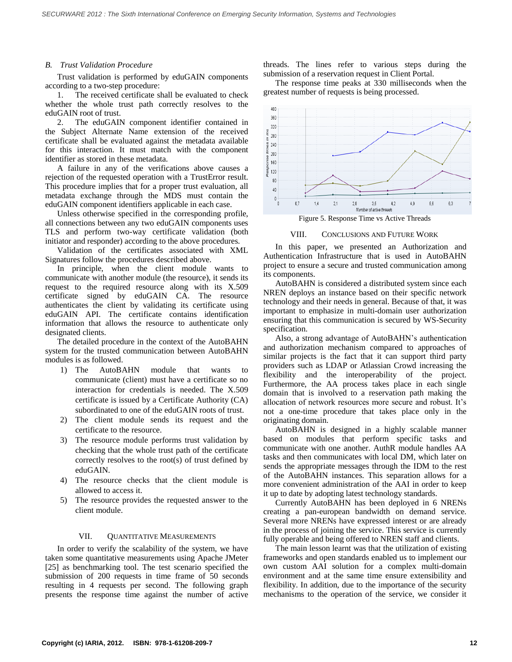### *B. Trust Validation Procedure*

Trust validation is performed by eduGAIN components according to a two-step procedure:

1. The received certificate shall be evaluated to check whether the whole trust path correctly resolves to the eduGAIN root of trust.

2. The eduGAIN component identifier contained in the Subject Alternate Name extension of the received certificate shall be evaluated against the metadata available for this interaction. It must match with the component identifier as stored in these metadata.

A failure in any of the verifications above causes a rejection of the requested operation with a TrustError result. This procedure implies that for a proper trust evaluation, all metadata exchange through the MDS must contain the eduGAIN component identifiers applicable in each case.

Unless otherwise specified in the corresponding profile, all connections between any two eduGAIN components uses TLS and perform two-way certificate validation (both initiator and responder) according to the above procedures.

Validation of the certificates associated with XML Signatures follow the procedures described above.

In principle, when the client module wants to communicate with another module (the resource), it sends its request to the required resource along with its X.509 certificate signed by eduGAIN CA. The resource authenticates the client by validating its certificate using eduGAIN API. The certificate contains identification information that allows the resource to authenticate only designated clients.

The detailed procedure in the context of the AutoBAHN system for the trusted communication between AutoBAHN modules is as followed.

- 1) The AutoBAHN module that wants to communicate (client) must have a certificate so no interaction for credentials is needed. The X.509 certificate is issued by a Certificate Authority (CA) subordinated to one of the eduGAIN roots of trust.
- 2) The client module sends its request and the certificate to the resource.
- 3) The resource module performs trust validation by checking that the whole trust path of the certificate correctly resolves to the root(s) of trust defined by eduGAIN.
- 4) The resource checks that the client module is allowed to access it.
- 5) The resource provides the requested answer to the client module.

## VII. QUANTITATIVE MEASUREMENTS

In order to verify the scalability of the system, we have taken some quantitative measurements using Apache JMeter [\[25\]](#page-6-21) as benchmarking tool. The test scenario specified the submission of 200 requests in time frame of 50 seconds resulting in 4 requests per second. The following graph presents the response time against the number of active threads. The lines refer to various steps during the submission of a reservation request in Client Portal.

The response time peaks at 330 milliseconds when the greatest number of requests is being processed.



VIII. CONCLUSIONS AND FUTURE WORK

In this paper, we presented an Authorization and Authentication Infrastructure that is used in AutoBAHN project to ensure a secure and trusted communication among its components.

AutoBAHN is considered a distributed system since each NREN deploys an instance based on their specific network technology and their needs in general. Because of that, it was important to emphasize in multi-domain user authorization ensuring that this communication is secured by WS-Security specification.

Also, a strong advantage of AutoBAHN's authentication and authorization mechanism compared to approaches of similar projects is the fact that it can support third party providers such as LDAP or Atlassian Crowd increasing the flexibility and the interoperability of the project. Furthermore, the AA process takes place in each single domain that is involved to a reservation path making the allocation of network resources more secure and robust. It's not a one-time procedure that takes place only in the originating domain.

AutoBAHN is designed in a highly scalable manner based on modules that perform specific tasks and communicate with one another. AuthR module handles AA tasks and then communicates with local DM, which later on sends the appropriate messages through the IDM to the rest of the AutoBAHN instances. This separation allows for a more convenient administration of the AAI in order to keep it up to date by adopting latest technology standards.

Currently AutoBAHN has been deployed in 6 NRENs creating a pan-european bandwidth on demand service. Several more NRENs have expressed interest or are already in the process of joining the service. This service is currently fully operable and being offered to NREN staff and clients.

The main lesson learnt was that the utilization of existing frameworks and open standards enabled us to implement our own custom AAI solution for a complex multi-domain environment and at the same time ensure extensibility and flexibility. In addition, due to the importance of the security mechanisms to the operation of the service, we consider it